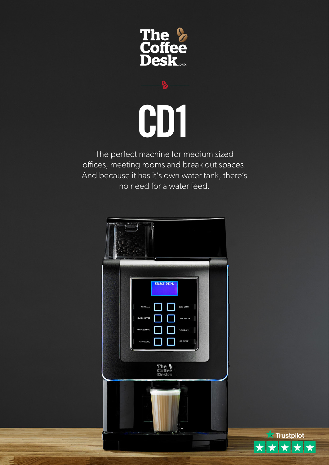



The perfect machine for medium sized offices, meeting rooms and break out spaces. And because it has it's own water tank, there's no need for a water feed.



 $\overrightarrow{ }$  Trustpilot

 $\bigstar$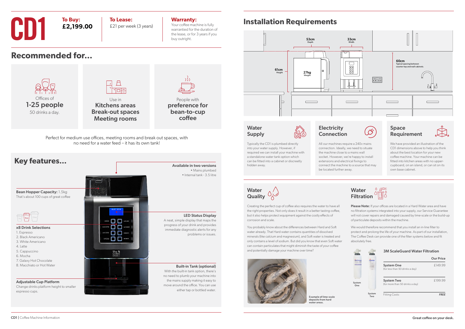## **Installation Requirements**

LED Status Display

problems or issues.

## $\bigcap$  $\Box \equiv$ Offices of Use in 1-25 people preference for Kitchens areas Break-out spaces bean-to-cup 50 drinks a day. Meeting rooms Perfect for medium use offices, meeting rooms and break out spaces, with no need for a water feed – it has its own tank! **Key features...** Available in two versions Bean Hopper Capacity: 1.5kg That's about 100 cups of great coffee  $G$  and  $\Box$  and  $G$  and  $G$ A neat, simple display that maps the progress of your drink and provides пn x8 Drink Selections immediate diagnostic alerts for any 0 O 2. Black Americano пn 3. White Americano 5. Cappuccino The &<br>Coffee 7. Galaxy Hot Chocolate 8. Macchiato or Hot Water Built-in Tank (optional) With the built-in tank option, there's no need to plumb your machine into the mains supply making it easy to Adjustable Cup Platform move around the office. You can use Change drinks platform height to smaller espresso cups.

• Mains plumbed • Internal tank - 3.5 litre

1. Espresso

4. Latte

6. Mocha



**CD1 To Buy:**<br>**E2,199.00 E2** per wee £21 per week (3 years)

CD1 | Coffee Machine Information

## **Water** Supply



## **Electricity Connection**

either tap or bottled water.



## **Warranty:**

Your coffee machine is fully warrantied for the duration of the lease, or for 3 years if you buy outright.

**To Buy:**

**£2,199.00**

**Recommended for...**

Please Note: If your offices are located in a Hard Water area and have no filtration systems integrated into your supply, our Service Guarantee will not cover repairs and damaged caused by lime-scale or the build-up of particulate deposits within the machine.

People with

coffee

Our Price £149.99

£199.99

Typically the CD1 is plumbed directly into your water supply. However, if required we can install your machine with a standalone water tank option which can be fitted into a cabinet or discreetly hidden away.



Creating the perfect cup of coffee also requires the water to have all the right properties. Not only does it result in a better tasting coffee, but it also helps protect equipment against the costly effects of corrosion and scale.

You probably know about the differences between Hard and Soft water already. That Hard water contains quantities of dissolved minerals (like calcium and magnesium), and Soft water is treated and only contains a level of sodium. But did you know that even Soft water can contain particulates that might diminish the taste of your coffee and potentially damage your machine over time?





We would therefore recommend that you install an in-line filter to protect and prolong the life of your machine. As part of our installation, The Coffee Desk can provide one of the filter systems below and fit absolutely free.

|               |               | .                                                    |                  |
|---------------|---------------|------------------------------------------------------|------------------|
|               |               |                                                      | <b>Our Price</b> |
|               |               | <b>System One</b><br>(for less than 50 drinks a day) | £149.99          |
| System<br>One |               | <b>System Two</b><br>(for more than 50 drinks a day) | £199.99          |
|               | System<br>Two | <b>Fitting Costs:</b>                                | <b>FREE</b>      |

## **3M ScaleGuard Water Filtration**

All our machines require a 240v mains connection. Ideally, we need to situate the machine close to a mains wall socket. However, we're happy to install extensions and electrical fixings to connect the machine to a source that may be located further away.

## Space Requirement



We have provided an illustration of the CD1 dimensions above to help you think about the best location for your new coffee machine. Your machine can be fitted into kitchen areas with no uppercupboard, on an island, or can sit on its own base cabinet.

Example of lime-scale deposits from hard water areas.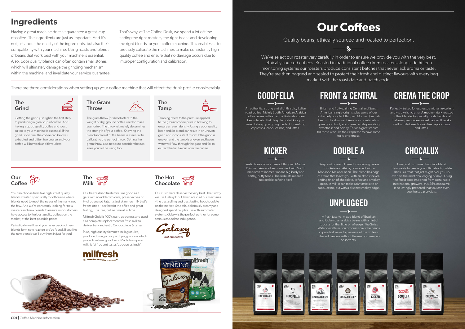We've select our roaster very carefully in order to ensure we provide you with the very best, ethically sourced coffees. Roasted in traditional coffee drum roasters along side hi-tech monitoring systems our roasters produce consistent batches that never lack aroma or taste. They're are then bagged and sealed to protect their fresh and distinct flavours with every bag marked with the roast date and batch code.

# **Our Coffees**

Quality beans, ethically sourced and roasted to perfection.

 $\mathbf{Q}$ 

Perfectly Suited for espressos with an excellent and visibly rich crema. A medium dark roasted coffee blended especially for its traditional Italian espresso deep roast flavour. It works well in milk-based drinks like cappuccinos and lattes.

# **CREMA THE CROP**

Bright and fruity pairing Central and South American single-origins, plus some of our extremely popular Ethiopian Mocha Djimmah beans. The dominant American combination gives good body and crema, while providing sweetness and acidity. This is a great choice for those who like their espresso to have some fruity brightness.

> A magical luxurious chocolate blend. Being able to create your ultimate chocolate drink is a treat that just might pick you up even on the most challenging of days. Using the finest coco imported from sustainable international growers, this 25% cocoa mix is so lovingly prepared that you can even see the sugar crystals.

An authentic, strong and slightly spicy Italian roast coffee. Mainly South American Arabica coffee beans with a dash of Robusta coffee beans to add that deep favourful kick you need to keep you going. Perfect for making espressos, cappuccinos, and lattes.

# **GOODFELLA**

Rustic tones from a classic Ethiopian Mocha. Djimmah Arabica beans married with South American refinement means big body and earthy, nutty tones. The Robusta means a noticeable caffeine kick!

# **FRONT & CENTRAL**

A fresh tasting, mixed blend of Brazilian and Colombian arabica beans with a hint of robusta for that little bit of edge. The Swiss Water decaffeination process soaks the beans in pure hot water to preserve all the coffee's inherent flavours without the use of chemicals or solvents.



## Our Coffee

# **KICKER**

# **UNPLUGGED**

Deep and powerful blend, containing beans

from Asia and Africa, combined with a Monsoon Malabar bean. The blend has bags of crema that leaves you with an almost neverending finish of chocolate, toffee and smokey spice. In milk it can make a fantastic latte or cappuccino, but with a distinct smokey edge.

# **DOUBLE A**

The Hot **Chocolate** 





The gram throw (or dose) refers to the weight of dry, ground coffee used to make your drink. The throw ultimately determines the strength of your coffee. Knowing the blend and roast of the beans is essential to calibrating the perfect throw. Setting the gram throw also needs to consider the cup sizes you will be using too.

### The Grind

Getting the grind just right is the first step to producing a great cup of coffee. And having a good quality coffee and roast suited to your machine is essential. If the grind is too fine, the coffee can be overextracted and bitter, too course and your coffee will be weak and flavourless.

The

Tamp

Tamping refers to the pressure applied to the ground coffee prior to brewing to ensure an even density. Using a poor quality bean and/or blend can result in an uneven grind and inconsistent throw. If the grind is uneven and the tamp is uneven and loose, water will flow through the gaps and fail to extract the full flavour from the coffee.

You can choose from five high street quality blends created specifically for office use where blends need to meet the needs of the many, not the few. And we're constantly looking for new roasters and new blends to ensure our customers have access to the best quality coffees on the market, at the best possible prices.

Periodically we'll send you taster packs of new blends form new roasters we've found. If you like the new blends we'll buy them in just for you!



Our freeze dried fresh milk is as good as it gets with no added colours, preservatives or Hydrogenated Fats. It's just skimmed milk that's freeze dried - perfect for the office and great tasting, fuss free, coffee time after time.

Milfresh Gold is 100% dairy goodness and used as a complete replacement for fresh milk to deliver truly authentic Cappuccinos & Lattes.

Pure, high quality skimmed milk granules, produced using a unique drying process which protects natural goodness. Made from pure milk, is fat free and tastes 'as good as fresh'.





Our customers deserve the very best. That's why we use Galaxy Hot Chocolate in all our machines - the best selling and best tasting hot chocolate on the market. Smooth, deliciously creamy and designed specifically for use with automated systems, Galaxy is the perfect partner for some serious chocolate indulgence.





## **Ingredients**

Having a great machine doesn't guarantee a great cup of coffee. The ingredients are just as important. And it's not just about the quality of the ingredients, but also their compatibility with your machine. Using roasts and blends of beans that work best with your machine is essential. Also, poor quality blends can often contain small stones which will ultimately damage the grinding mechanism within the machine, and invalidate your service guarantee. That's why, at The Coffee Desk, we spend a lot of time finding the right roasters, the right beans and developing the right blends for your coffee machine. This enables us to precisely calibrate the machines to make consistently high quality coffee and ensure that no damage occurs due to improper configuration and calibration.

There are three considerations when setting up your coffee machine that will effect the drink profile considerably.